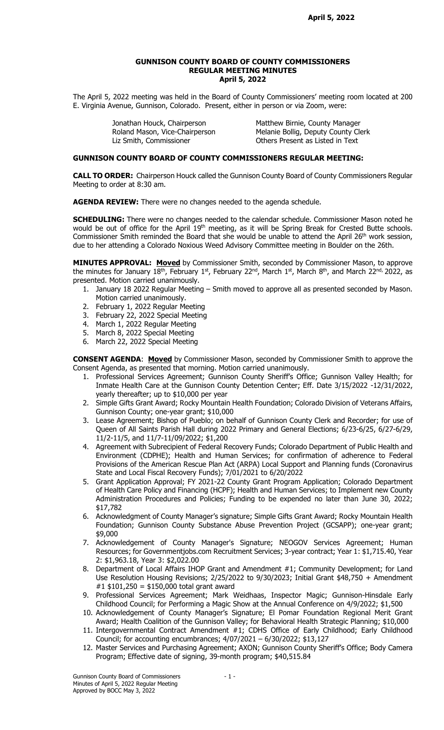### GUNNISON COUNTY BOARD OF COUNTY COMMISSIONERS REGULAR MEETING MINUTES April 5, 2022

The April 5, 2022 meeting was held in the Board of County Commissioners' meeting room located at 200 E. Virginia Avenue, Gunnison, Colorado. Present, either in person or via Zoom, were:

> Jonathan Houck, Chairperson Matthew Birnie, County Manager Liz Smith, Commissioner **Commissioner** Others Present as Listed in Text

Roland Mason, Vice-Chairperson Melanie Bollig, Deputy County Clerk

### GUNNISON COUNTY BOARD OF COUNTY COMMISSIONERS REGULAR MEETING:

CALL TO ORDER: Chairperson Houck called the Gunnison County Board of County Commissioners Regular Meeting to order at 8:30 am.

AGENDA REVIEW: There were no changes needed to the agenda schedule.

**SCHEDULING:** There were no changes needed to the calendar schedule. Commissioner Mason noted he would be out of office for the April 19<sup>th</sup> meeting, as it will be Spring Break for Crested Butte schools. Commissioner Smith reminded the Board that she would be unable to attend the April 26th work session, due to her attending a Colorado Noxious Weed Advisory Committee meeting in Boulder on the 26th.

MINUTES APPROVAL: Moved by Commissioner Smith, seconded by Commissioner Mason, to approve the minutes for January  $18^{th}$ , February 1st, February 22<sup>nd</sup>, March 1st, March 8<sup>th</sup>, and March 22<sup>nd,</sup> 2022, as presented. Motion carried unanimously.

- 1. January 18 2022 Regular Meeting Smith moved to approve all as presented seconded by Mason. Motion carried unanimously.
- 2. February 1, 2022 Regular Meeting
- 3. February 22, 2022 Special Meeting
- 4. March 1, 2022 Regular Meeting
- 5. March 8, 2022 Special Meeting
- 6. March 22, 2022 Special Meeting

**CONSENT AGENDA:** Moved by Commissioner Mason, seconded by Commissioner Smith to approve the Consent Agenda, as presented that morning. Motion carried unanimously.

- 1. Professional Services Agreement; Gunnison County Sheriff's Office; Gunnison Valley Health; for Inmate Health Care at the Gunnison County Detention Center; Eff. Date 3/15/2022 -12/31/2022, yearly thereafter; up to \$10,000 per year
- 2. Simple Gifts Grant Award; Rocky Mountain Health Foundation; Colorado Division of Veterans Affairs, Gunnison County; one-year grant; \$10,000
- 3. Lease Agreement; Bishop of Pueblo; on behalf of Gunnison County Clerk and Recorder; for use of Queen of All Saints Parish Hall during 2022 Primary and General Elections; 6/23-6/25, 6/27-6/29, 11/2-11/5, and 11/7-11/09/2022; \$1,200
- 4. Agreement with Subrecipient of Federal Recovery Funds; Colorado Department of Public Health and Environment (CDPHE); Health and Human Services; for confirmation of adherence to Federal Provisions of the American Rescue Plan Act (ARPA) Local Support and Planning funds (Coronavirus State and Local Fiscal Recovery Funds); 7/01/2021 to 6/20/2022
- 5. Grant Application Approval; FY 2021-22 County Grant Program Application; Colorado Department of Health Care Policy and Financing (HCPF); Health and Human Services; to Implement new County Administration Procedures and Policies; Funding to be expended no later than June 30, 2022; \$17,782
- 6. Acknowledgment of County Manager's signature; Simple Gifts Grant Award; Rocky Mountain Health Foundation; Gunnison County Substance Abuse Prevention Project (GCSAPP); one-year grant; \$9,000
- 7. Acknowledgement of County Manager's Signature; NEOGOV Services Agreement; Human Resources; for Governmentjobs.com Recruitment Services; 3-year contract; Year 1: \$1,715.40, Year 2: \$1,963.18, Year 3: \$2,022.00
- 8. Department of Local Affairs IHOP Grant and Amendment #1; Community Development; for Land Use Resolution Housing Revisions; 2/25/2022 to 9/30/2023; Initial Grant \$48,750 + Amendment #1 \$101,250 = \$150,000 total grant award
- 9. Professional Services Agreement; Mark Weidhaas, Inspector Magic; Gunnison-Hinsdale Early Childhood Council; for Performing a Magic Show at the Annual Conference on 4/9/2022; \$1,500
- 10. Acknowledgement of County Manager's Signature; El Pomar Foundation Regional Merit Grant Award; Health Coalition of the Gunnison Valley; for Behavioral Health Strategic Planning; \$10,000
- 11. Intergovernmental Contract Amendment #1; CDHS Office of Early Childhood; Early Childhood Council; for accounting encumbrances; 4/07/2021 – 6/30/2022; \$13,127
- 12. Master Services and Purchasing Agreement; AXON; Gunnison County Sheriff's Office; Body Camera Program; Effective date of signing, 39-month program; \$40,515.84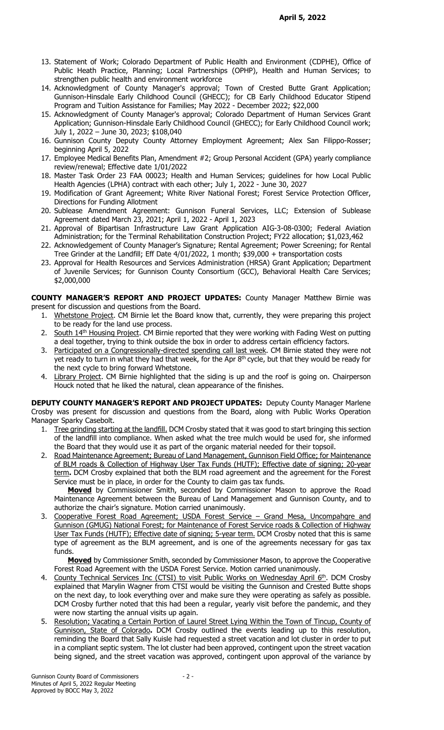- 13. Statement of Work; Colorado Department of Public Health and Environment (CDPHE), Office of Public Heath Practice, Planning; Local Partnerships (OPHP), Health and Human Services; to strengthen public health and environment workforce
- 14. Acknowledgment of County Manager's approval; Town of Crested Butte Grant Application; Gunnison-Hinsdale Early Childhood Council (GHECC); for CB Early Childhood Educator Stipend Program and Tuition Assistance for Families; May 2022 - December 2022; \$22,000
- 15. Acknowledgment of County Manager's approval; Colorado Department of Human Services Grant Application; Gunnison-Hinsdale Early Childhood Council (GHECC); for Early Childhood Council work; July 1, 2022 – June 30, 2023; \$108,040
- 16. Gunnison County Deputy County Attorney Employment Agreement; Alex San Filippo-Rosser; beginning April 5, 2022
- 17. Employee Medical Benefits Plan, Amendment #2; Group Personal Accident (GPA) yearly compliance review/renewal; Effective date 1/01/2022
- 18. Master Task Order 23 FAA 00023; Health and Human Services; guidelines for how Local Public Health Agencies (LPHA) contract with each other; July 1, 2022 - June 30, 2027
- 19. Modification of Grant Agreement; White River National Forest; Forest Service Protection Officer, Directions for Funding Allotment
- 20. Sublease Amendment Agreement: Gunnison Funeral Services, LLC; Extension of Sublease Agreement dated March 23, 2021; April 1, 2022 - April 1, 2023
- 21. Approval of Bipartisan Infrastructure Law Grant Application AIG-3-08-0300; Federal Aviation Administration; for the Terminal Rehabilitation Construction Project; FY22 allocation; \$1,023,462
- 22. Acknowledgement of County Manager's Signature; Rental Agreement; Power Screening; for Rental Tree Grinder at the Landfill; Eff Date 4/01/2022, 1 month; \$39,000 + transportation costs
- 23. Approval for Health Resources and Services Administration (HRSA) Grant Application; Department of Juvenile Services; for Gunnison County Consortium (GCC), Behavioral Health Care Services; \$2,000,000

COUNTY MANAGER'S REPORT AND PROJECT UPDATES: County Manager Matthew Birnie was present for discussion and questions from the Board.

- 1. Whetstone Project. CM Birnie let the Board know that, currently, they were preparing this project to be ready for the land use process.
- 2. South 14<sup>th</sup> Housing Project. CM Birnie reported that they were working with Fading West on putting a deal together, trying to think outside the box in order to address certain efficiency factors.
- 3. Participated on a Congressionally-directed spending call last week. CM Birnie stated they were not yet ready to turn in what they had that week, for the Apr  $8<sup>th</sup>$  cycle, but that they would be ready for the next cycle to bring forward Whetstone.
- 4. Library Project. CM Birnie highlighted that the siding is up and the roof is going on. Chairperson Houck noted that he liked the natural, clean appearance of the finishes.

DEPUTY COUNTY MANAGER'S REPORT AND PROJECT UPDATES: Deputy County Manager Marlene Crosby was present for discussion and questions from the Board, along with Public Works Operation Manager Sparky Casebolt.

- 1. Tree grinding starting at the landfill. DCM Crosby stated that it was good to start bringing this section of the landfill into compliance. When asked what the tree mulch would be used for, she informed the Board that they would use it as part of the organic material needed for their topsoil.
- 2. Road Maintenance Agreement; Bureau of Land Management, Gunnison Field Office; for Maintenance of BLM roads & Collection of Highway User Tax Funds (HUTF); Effective date of signing; 20-year term. DCM Crosby explained that both the BLM road agreement and the agreement for the Forest Service must be in place, in order for the County to claim gas tax funds.

**Moved** by Commissioner Smith, seconded by Commissioner Mason to approve the Road Maintenance Agreement between the Bureau of Land Management and Gunnison County, and to authorize the chair's signature. Motion carried unanimously.

3. Cooperative Forest Road Agreement; USDA Forest Service - Grand Mesa, Uncompahgre and Gunnison (GMUG) National Forest; for Maintenance of Forest Service roads & Collection of Highway User Tax Funds (HUTF); Effective date of signing; 5-year term. DCM Crosby noted that this is same type of agreement as the BLM agreement, and is one of the agreements necessary for gas tax funds.

Moved by Commissioner Smith, seconded by Commissioner Mason, to approve the Cooperative Forest Road Agreement with the USDA Forest Service. Motion carried unanimously.

- 4. County Technical Services Inc (CTSI) to visit Public Works on Wednesday April 6th. DCM Crosby explained that Marylin Wagner from CTSI would be visiting the Gunnison and Crested Butte shops on the next day, to look everything over and make sure they were operating as safely as possible. DCM Crosby further noted that this had been a regular, yearly visit before the pandemic, and they were now starting the annual visits up again.
- 5. Resolution; Vacating a Certain Portion of Laurel Street Lying Within the Town of Tincup, County of Gunnison, State of Colorado. DCM Crosby outlined the events leading up to this resolution, reminding the Board that Sally Kuisle had requested a street vacation and lot cluster in order to put in a compliant septic system. The lot cluster had been approved, contingent upon the street vacation being signed, and the street vacation was approved, contingent upon approval of the variance by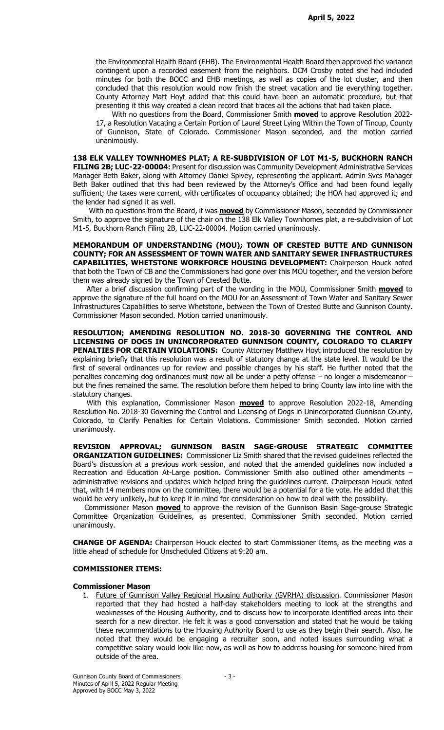the Environmental Health Board (EHB). The Environmental Health Board then approved the variance contingent upon a recorded easement from the neighbors. DCM Crosby noted she had included minutes for both the BOCC and EHB meetings, as well as copies of the lot cluster, and then concluded that this resolution would now finish the street vacation and tie everything together. County Attorney Matt Hoyt added that this could have been an automatic procedure, but that presenting it this way created a clean record that traces all the actions that had taken place.

With no questions from the Board, Commissioner Smith **moved** to approve Resolution 2022-17, a Resolution Vacating a Certain Portion of Laurel Street Lying Within the Town of Tincup, County of Gunnison, State of Colorado. Commissioner Mason seconded, and the motion carried unanimously.

138 ELK VALLEY TOWNHOMES PLAT; A RE-SUBDIVISION OF LOT M1-5, BUCKHORN RANCH FILING 2B; LUC-22-00004: Present for discussion was Community Development Administrative Services Manager Beth Baker, along with Attorney Daniel Spivey, representing the applicant. Admin Svcs Manager Beth Baker outlined that this had been reviewed by the Attorney's Office and had been found legally sufficient; the taxes were current, with certificates of occupancy obtained; the HOA had approved it; and the lender had signed it as well.

With no questions from the Board, it was **moved** by Commissioner Mason, seconded by Commissioner Smith, to approve the signature of the chair on the 138 Elk Valley Townhomes plat, a re-subdivision of Lot M1-5, Buckhorn Ranch Filing 2B, LUC-22-00004. Motion carried unanimously.

MEMORANDUM OF UNDERSTANDING (MOU); TOWN OF CRESTED BUTTE AND GUNNISON COUNTY; FOR AN ASSESSMENT OF TOWN WATER AND SANITARY SEWER INFRASTRUCTURES CAPABILITIES, WHETSTONE WORKFORCE HOUSING DEVELOPMENT: Chairperson Houck noted that both the Town of CB and the Commissioners had gone over this MOU together, and the version before them was already signed by the Town of Crested Butte.

After a brief discussion confirming part of the wording in the MOU, Commissioner Smith **moved** to approve the signature of the full board on the MOU for an Assessment of Town Water and Sanitary Sewer Infrastructures Capabilities to serve Whetstone, between the Town of Crested Butte and Gunnison County. Commissioner Mason seconded. Motion carried unanimously.

RESOLUTION; AMENDING RESOLUTION NO. 2018-30 GOVERNING THE CONTROL AND LICENSING OF DOGS IN UNINCORPORATED GUNNISON COUNTY, COLORADO TO CLARIFY PENALTIES FOR CERTAIN VIOLATIONS: County Attorney Matthew Hoyt introduced the resolution by explaining briefly that this resolution was a result of statutory change at the state level. It would be the first of several ordinances up for review and possible changes by his staff. He further noted that the penalties concerning dog ordinances must now all be under a petty offense – no longer a misdemeanor – but the fines remained the same. The resolution before them helped to bring County law into line with the statutory changes.

With this explanation, Commissioner Mason **moved** to approve Resolution 2022-18, Amending Resolution No. 2018-30 Governing the Control and Licensing of Dogs in Unincorporated Gunnison County, Colorado, to Clarify Penalties for Certain Violations. Commissioner Smith seconded. Motion carried unanimously.

REVISION APPROVAL; GUNNISON BASIN SAGE-GROUSE STRATEGIC COMMITTEE ORGANIZATION GUIDELINES: Commissioner Liz Smith shared that the revised guidelines reflected the Board's discussion at a previous work session, and noted that the amended guidelines now included a Recreation and Education At-Large position. Commissioner Smith also outlined other amendments – administrative revisions and updates which helped bring the guidelines current. Chairperson Houck noted that, with 14 members now on the committee, there would be a potential for a tie vote. He added that this would be very unlikely, but to keep it in mind for consideration on how to deal with the possibility.

Commissioner Mason **moved** to approve the revision of the Gunnison Basin Sage-grouse Strategic Committee Organization Guidelines, as presented. Commissioner Smith seconded. Motion carried unanimously.

**CHANGE OF AGENDA:** Chairperson Houck elected to start Commissioner Items, as the meeting was a little ahead of schedule for Unscheduled Citizens at 9:20 am.

## COMMISSIONER ITEMS:

#### Commissioner Mason

1. Future of Gunnison Valley Regional Housing Authority (GVRHA) discussion. Commissioner Mason reported that they had hosted a half-day stakeholders meeting to look at the strengths and weaknesses of the Housing Authority, and to discuss how to incorporate identified areas into their search for a new director. He felt it was a good conversation and stated that he would be taking these recommendations to the Housing Authority Board to use as they begin their search. Also, he noted that they would be engaging a recruiter soon, and noted issues surrounding what a competitive salary would look like now, as well as how to address housing for someone hired from outside of the area.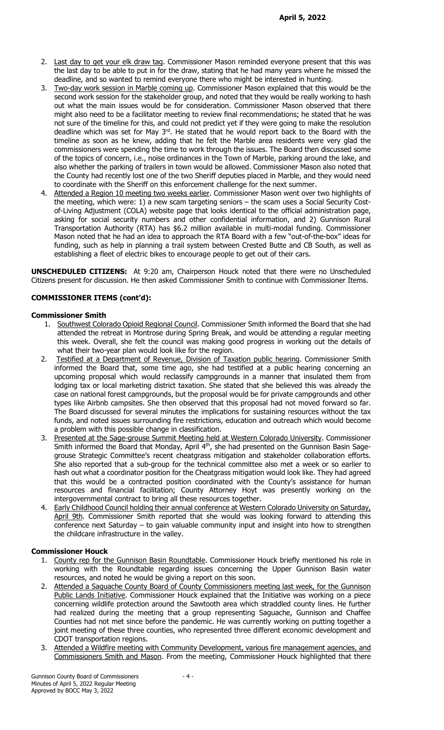- 2. Last day to get your elk draw tag. Commissioner Mason reminded everyone present that this was the last day to be able to put in for the draw, stating that he had many years where he missed the deadline, and so wanted to remind everyone there who might be interested in hunting.
- 3. Two-day work session in Marble coming up. Commissioner Mason explained that this would be the second work session for the stakeholder group, and noted that they would be really working to hash out what the main issues would be for consideration. Commissioner Mason observed that there might also need to be a facilitator meeting to review final recommendations; he stated that he was not sure of the timeline for this, and could not predict yet if they were going to make the resolution deadline which was set for May  $3<sup>rd</sup>$ . He stated that he would report back to the Board with the timeline as soon as he knew, adding that he felt the Marble area residents were very glad the commissioners were spending the time to work through the issues. The Board then discussed some of the topics of concern, i.e., noise ordinances in the Town of Marble, parking around the lake, and also whether the parking of trailers in town would be allowed. Commissioner Mason also noted that the County had recently lost one of the two Sheriff deputies placed in Marble, and they would need to coordinate with the Sheriff on this enforcement challenge for the next summer.
- 4. Attended a Region 10 meeting two weeks earlier. Commissioner Mason went over two highlights of the meeting, which were: 1) a new scam targeting seniors – the scam uses a Social Security Costof-Living Adjustment (COLA) website page that looks identical to the official administration page, asking for social security numbers and other confidential information, and 2) Gunnison Rural Transportation Authority (RTA) has \$6.2 million available in multi-modal funding. Commissioner Mason noted that he had an idea to approach the RTA Board with a few "out-of-the-box" ideas for funding, such as help in planning a trail system between Crested Butte and CB South, as well as establishing a fleet of electric bikes to encourage people to get out of their cars.

UNSCHEDULED CITIZENS: At 9:20 am, Chairperson Houck noted that there were no Unscheduled Citizens present for discussion. He then asked Commissioner Smith to continue with Commissioner Items.

# COMMISSIONER ITEMS (cont'd):

### Commissioner Smith

- 1. Southwest Colorado Opioid Regional Council. Commissioner Smith informed the Board that she had attended the retreat in Montrose during Spring Break, and would be attending a regular meeting this week. Overall, she felt the council was making good progress in working out the details of what their two-year plan would look like for the region.
- 2. Testified at a Department of Revenue, Division of Taxation public hearing. Commissioner Smith informed the Board that, some time ago, she had testified at a public hearing concerning an upcoming proposal which would reclassify campgrounds in a manner that insulated them from lodging tax or local marketing district taxation. She stated that she believed this was already the case on national forest campgrounds, but the proposal would be for private campgrounds and other types like Airbnb campsites. She then observed that this proposal had not moved forward so far. The Board discussed for several minutes the implications for sustaining resources without the tax funds, and noted issues surrounding fire restrictions, education and outreach which would become a problem with this possible change in classification.
- 3. Presented at the Sage-grouse Summit Meeting held at Western Colorado University. Commissioner Smith informed the Board that Monday, April 4<sup>th</sup>, she had presented on the Gunnison Basin Sagegrouse Strategic Committee's recent cheatgrass mitigation and stakeholder collaboration efforts. She also reported that a sub-group for the technical committee also met a week or so earlier to hash out what a coordinator position for the Cheatgrass mitigation would look like. They had agreed that this would be a contracted position coordinated with the County's assistance for human resources and financial facilitation; County Attorney Hoyt was presently working on the intergovernmental contract to bring all these resources together.
- 4. Early Childhood Council holding their annual conference at Western Colorado University on Saturday, April 9th. Commissioner Smith reported that she would was looking forward to attending this conference next Saturday – to gain valuable community input and insight into how to strengthen the childcare infrastructure in the valley.

### Commissioner Houck

- 1. County rep for the Gunnison Basin Roundtable. Commissioner Houck briefly mentioned his role in working with the Roundtable regarding issues concerning the Upper Gunnison Basin water resources, and noted he would be giving a report on this soon.
- 2. Attended a Saguache County Board of County Commissioners meeting last week, for the Gunnison Public Lands Initiative. Commissioner Houck explained that the Initiative was working on a piece concerning wildlife protection around the Sawtooth area which straddled county lines. He further had realized during the meeting that a group representing Saguache, Gunnison and Chaffee Counties had not met since before the pandemic. He was currently working on putting together a joint meeting of these three counties, who represented three different economic development and CDOT transportation regions.
- 3. Attended a Wildfire meeting with Community Development, various fire management agencies, and Commissioners Smith and Mason. From the meeting, Commissioner Houck highlighted that there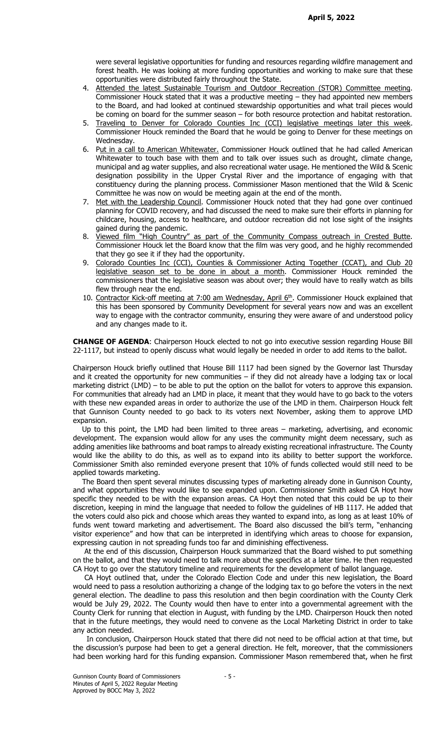were several legislative opportunities for funding and resources regarding wildfire management and forest health. He was looking at more funding opportunities and working to make sure that these opportunities were distributed fairly throughout the State.

- 4. Attended the latest Sustainable Tourism and Outdoor Recreation (STOR) Committee meeting. Commissioner Houck stated that it was a productive meeting – they had appointed new members to the Board, and had looked at continued stewardship opportunities and what trail pieces would be coming on board for the summer season – for both resource protection and habitat restoration.
- 5. Traveling to Denver for Colorado Counties Inc (CCI) legislative meetings later this week. Commissioner Houck reminded the Board that he would be going to Denver for these meetings on Wednesday.
- 6. Put in a call to American Whitewater. Commissioner Houck outlined that he had called American Whitewater to touch base with them and to talk over issues such as drought, climate change, municipal and ag water supplies, and also recreational water usage. He mentioned the Wild & Scenic designation possibility in the Upper Crystal River and the importance of engaging with that constituency during the planning process. Commissioner Mason mentioned that the Wild & Scenic Committee he was now on would be meeting again at the end of the month.
- 7. Met with the Leadership Council. Commissioner Houck noted that they had gone over continued planning for COVID recovery, and had discussed the need to make sure their efforts in planning for childcare, housing, access to healthcare, and outdoor recreation did not lose sight of the insights gained during the pandemic.
- 8. Viewed film "High Country" as part of the Community Compass outreach in Crested Butte. Commissioner Houck let the Board know that the film was very good, and he highly recommended that they go see it if they had the opportunity.
- 9. Colorado Counties Inc (CCI), Counties & Commissioner Acting Together (CCAT), and Club 20 legislative season set to be done in about a month. Commissioner Houck reminded the commissioners that the legislative season was about over; they would have to really watch as bills flew through near the end.
- 10. Contractor Kick-off meeting at 7:00 am Wednesday, April 6<sup>th</sup>. Commissioner Houck explained that this has been sponsored by Community Development for several years now and was an excellent way to engage with the contractor community, ensuring they were aware of and understood policy and any changes made to it.

CHANGE OF AGENDA: Chairperson Houck elected to not go into executive session regarding House Bill 22-1117, but instead to openly discuss what would legally be needed in order to add items to the ballot.

Chairperson Houck briefly outlined that House Bill 1117 had been signed by the Governor last Thursday and it created the opportunity for new communities – if they did not already have a lodging tax or local marketing district (LMD) – to be able to put the option on the ballot for voters to approve this expansion. For communities that already had an LMD in place, it meant that they would have to go back to the voters with these new expanded areas in order to authorize the use of the LMD in them. Chairperson Houck felt that Gunnison County needed to go back to its voters next November, asking them to approve LMD expansion.

 Up to this point, the LMD had been limited to three areas – marketing, advertising, and economic development. The expansion would allow for any uses the community might deem necessary, such as adding amenities like bathrooms and boat ramps to already existing recreational infrastructure. The County would like the ability to do this, as well as to expand into its ability to better support the workforce. Commissioner Smith also reminded everyone present that 10% of funds collected would still need to be applied towards marketing.

 The Board then spent several minutes discussing types of marketing already done in Gunnison County, and what opportunities they would like to see expanded upon. Commissioner Smith asked CA Hoyt how specific they needed to be with the expansion areas. CA Hoyt then noted that this could be up to their discretion, keeping in mind the language that needed to follow the guidelines of HB 1117. He added that the voters could also pick and choose which areas they wanted to expand into, as long as at least 10% of funds went toward marketing and advertisement. The Board also discussed the bill's term, "enhancing visitor experience" and how that can be interpreted in identifying which areas to choose for expansion, expressing caution in not spreading funds too far and diminishing effectiveness.

 At the end of this discussion, Chairperson Houck summarized that the Board wished to put something on the ballot, and that they would need to talk more about the specifics at a later time. He then requested CA Hoyt to go over the statutory timeline and requirements for the development of ballot language.

 CA Hoyt outlined that, under the Colorado Election Code and under this new legislation, the Board would need to pass a resolution authorizing a change of the lodging tax to go before the voters in the next general election. The deadline to pass this resolution and then begin coordination with the County Clerk would be July 29, 2022. The County would then have to enter into a governmental agreement with the County Clerk for running that election in August, with funding by the LMD. Chairperson Houck then noted that in the future meetings, they would need to convene as the Local Marketing District in order to take any action needed.

 In conclusion, Chairperson Houck stated that there did not need to be official action at that time, but the discussion's purpose had been to get a general direction. He felt, moreover, that the commissioners had been working hard for this funding expansion. Commissioner Mason remembered that, when he first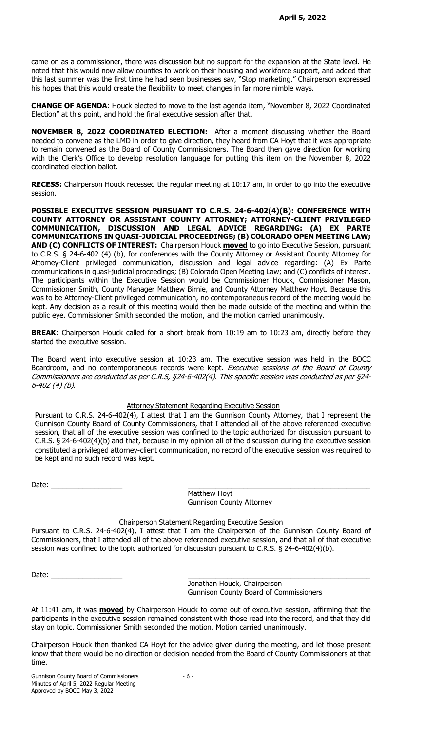came on as a commissioner, there was discussion but no support for the expansion at the State level. He noted that this would now allow counties to work on their housing and workforce support, and added that this last summer was the first time he had seen businesses say, "Stop marketing." Chairperson expressed his hopes that this would create the flexibility to meet changes in far more nimble ways.

CHANGE OF AGENDA: Houck elected to move to the last agenda item, "November 8, 2022 Coordinated Election" at this point, and hold the final executive session after that.

NOVEMBER 8, 2022 COORDINATED ELECTION: After a moment discussing whether the Board needed to convene as the LMD in order to give direction, they heard from CA Hoyt that it was appropriate to remain convened as the Board of County Commissioners. The Board then gave direction for working with the Clerk's Office to develop resolution language for putting this item on the November 8, 2022 coordinated election ballot.

RECESS: Chairperson Houck recessed the regular meeting at 10:17 am, in order to go into the executive session.

POSSIBLE EXECUTIVE SESSION PURSUANT TO C.R.S. 24-6-402(4)(B): CONFERENCE WITH COUNTY ATTORNEY OR ASSISTANT COUNTY ATTORNEY; ATTORNEY-CLIENT PRIVILEGED COMMUNICATION, DISCUSSION AND LEGAL ADVICE REGARDING: (A) EX PARTE COMMUNICATIONS IN QUASI-JUDICIAL PROCEEDINGS; (B) COLORADO OPEN MEETING LAW; AND (C) CONFLICTS OF INTEREST: Chairperson Houck moved to go into Executive Session, pursuant to C.R.S. § 24-6-402 (4) (b), for conferences with the County Attorney or Assistant County Attorney for Attorney-Client privileged communication, discussion and legal advice regarding: (A) Ex Parte communications in quasi-judicial proceedings; (B) Colorado Open Meeting Law; and (C) conflicts of interest. The participants within the Executive Session would be Commissioner Houck, Commissioner Mason, Commissioner Smith, County Manager Matthew Birnie, and County Attorney Matthew Hoyt. Because this was to be Attorney-Client privileged communication, no contemporaneous record of the meeting would be kept. Any decision as a result of this meeting would then be made outside of the meeting and within the public eye. Commissioner Smith seconded the motion, and the motion carried unanimously.

**BREAK:** Chairperson Houck called for a short break from 10:19 am to 10:23 am, directly before they started the executive session.

The Board went into executive session at 10:23 am. The executive session was held in the BOCC Boardroom, and no contemporaneous records were kept. Executive sessions of the Board of County Commissioners are conducted as per C.R.S, §24-6-402(4). This specific session was conducted as per §24- 6-402 (4) (b).

#### Attorney Statement Regarding Executive Session

Pursuant to C.R.S. 24-6-402(4), I attest that I am the Gunnison County Attorney, that I represent the Gunnison County Board of County Commissioners, that I attended all of the above referenced executive session, that all of the executive session was confined to the topic authorized for discussion pursuant to C.R.S. § 24-6-402(4)(b) and that, because in my opinion all of the discussion during the executive session constituted a privileged attorney-client communication, no record of the executive session was required to be kept and no such record was kept.

Date: \_\_\_\_\_\_\_\_\_\_\_\_\_\_\_\_\_\_ \_\_\_\_\_\_\_\_\_\_\_\_\_\_\_\_\_\_\_\_\_\_\_\_\_\_\_\_\_\_\_\_\_\_\_\_\_\_\_\_\_\_\_\_\_\_

 Matthew Hoyt Gunnison County Attorney

### Chairperson Statement Regarding Executive Session

Pursuant to C.R.S. 24-6-402(4), I attest that I am the Chairperson of the Gunnison County Board of Commissioners, that I attended all of the above referenced executive session, and that all of that executive session was confined to the topic authorized for discussion pursuant to C.R.S. § 24-6-402(4)(b).

Date: \_\_\_\_\_\_\_\_\_\_\_\_\_\_\_\_\_\_ \_\_\_\_\_\_\_\_\_\_\_\_\_\_\_\_\_\_\_\_\_\_\_\_\_\_\_\_\_\_\_\_\_\_\_\_\_\_\_\_\_\_\_\_\_\_

 Jonathan Houck, Chairperson Gunnison County Board of Commissioners

At 11:41 am, it was **moved** by Chairperson Houck to come out of executive session, affirming that the participants in the executive session remained consistent with those read into the record, and that they did stay on topic. Commissioner Smith seconded the motion. Motion carried unanimously.

Chairperson Houck then thanked CA Hoyt for the advice given during the meeting, and let those present know that there would be no direction or decision needed from the Board of County Commissioners at that time.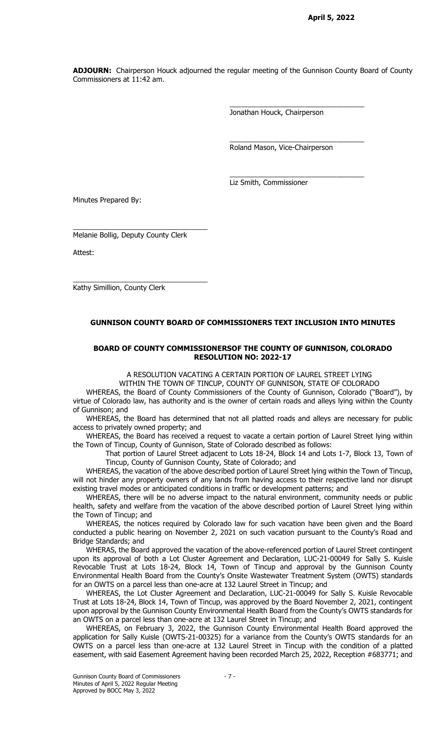ADJOURN: Chairperson Houck adjourned the regular meeting of the Gunnison County Board of County Commissioners at 11:42 am.

Jonathan Houck, Chairperson

\_\_\_\_\_\_\_\_\_\_\_\_\_\_\_\_\_\_\_\_\_\_\_\_\_\_\_\_\_\_\_\_\_\_

\_\_\_\_\_\_\_\_\_\_\_\_\_\_\_\_\_\_\_\_\_\_\_\_\_\_\_\_\_\_\_\_\_\_

\_\_\_\_\_\_\_\_\_\_\_\_\_\_\_\_\_\_\_\_\_\_\_\_\_\_\_\_\_\_\_\_\_\_

Roland Mason, Vice-Chairperson

Liz Smith, Commissioner

Minutes Prepared By:

Melanie Bollig, Deputy County Clerk

\_\_\_\_\_\_\_\_\_\_\_\_\_\_\_\_\_\_\_\_\_\_\_\_\_\_\_\_\_\_\_\_\_\_

\_\_\_\_\_\_\_\_\_\_\_\_\_\_\_\_\_\_\_\_\_\_\_\_\_\_\_\_\_\_\_\_\_\_

Attest:

Kathy Simillion, County Clerk

## GUNNISON COUNTY BOARD OF COMMISSIONERS TEXT INCLUSION INTO MINUTES

#### BOARD OF COUNTY COMMISSIONERSOF THE COUNTY OF GUNNISON, COLORADO RESOLUTION NO: 2022-17

A RESOLUTION VACATING A CERTAIN PORTION OF LAUREL STREET LYING

WITHIN THE TOWN OF TINCUP, COUNTY OF GUNNISON, STATE OF COLORADO

WHEREAS, the Board of County Commissioners of the County of Gunnison, Colorado ("Board"), by virtue of Colorado law, has authority and is the owner of certain roads and alleys lying within the County of Gunnison; and

WHEREAS, the Board has determined that not all platted roads and alleys are necessary for public access to privately owned property; and

WHEREAS, the Board has received a request to vacate a certain portion of Laurel Street lying within the Town of Tincup, County of Gunnison, State of Colorado described as follows:

That portion of Laurel Street adjacent to Lots 18-24, Block 14 and Lots 1-7, Block 13, Town of Tincup, County of Gunnison County, State of Colorado; and

WHEREAS, the vacation of the above described portion of Laurel Street lying within the Town of Tincup, will not hinder any property owners of any lands from having access to their respective land nor disrupt existing travel modes or anticipated conditions in traffic or development patterns; and

WHEREAS, there will be no adverse impact to the natural environment, community needs or public health, safety and welfare from the vacation of the above described portion of Laurel Street lying within the Town of Tincup; and

WHEREAS, the notices required by Colorado law for such vacation have been given and the Board conducted a public hearing on November 2, 2021 on such vacation pursuant to the County's Road and Bridge Standards; and

WHERAS, the Board approved the vacation of the above-referenced portion of Laurel Street contingent upon its approval of both a Lot Cluster Agreement and Declaration, LUC-21-00049 for Sally S. Kuisle Revocable Trust at Lots 18-24, Block 14, Town of Tincup and approval by the Gunnison County Environmental Health Board from the County's Onsite Wastewater Treatment System (OWTS) standards for an OWTS on a parcel less than one-acre at 132 Laurel Street in Tincup; and

WHEREAS, the Lot Cluster Agreement and Declaration, LUC-21-00049 for Sally S. Kuisle Revocable Trust at Lots 18-24, Block 14, Town of Tincup, was approved by the Board November 2, 2021, contingent upon approval by the Gunnison County Environmental Health Board from the County's OWTS standards for an OWTS on a parcel less than one-acre at 132 Laurel Street in Tincup; and

WHEREAS, on February 3, 2022, the Gunnison County Environmental Health Board approved the application for Sally Kuisle (OWTS-21-00325) for a variance from the County's OWTS standards for an OWTS on a parcel less than one-acre at 132 Laurel Street in Tincup with the condition of a platted easement, with said Easement Agreement having been recorded March 25, 2022, Reception #683771; and